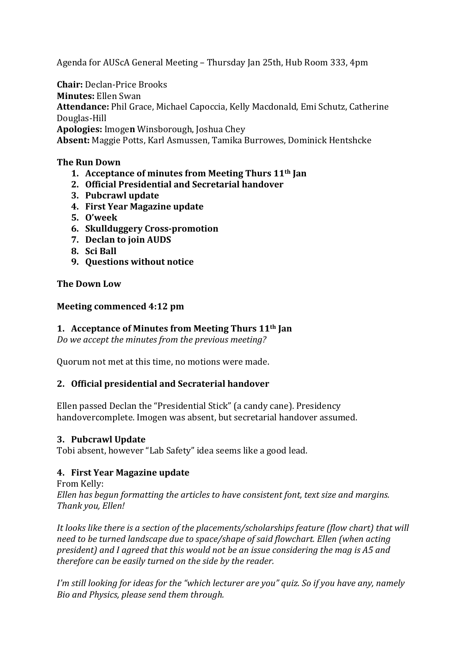Agenda for AUScA General Meeting – Thursday Jan 25th, Hub Room 333, 4pm

**Chair:** Declan-Price Brooks **Minutes:** Ellen Swan Attendance: Phil Grace, Michael Capoccia, Kelly Macdonald, Emi Schutz, Catherine Douglas-Hill **Apologies:** Imogen Winsborough, Joshua Chey Absent: Maggie Potts, Karl Asmussen, Tamika Burrowes, Dominick Hentshcke

## **The Run Down**

- **1.** Acceptance of minutes from Meeting Thurs 11<sup>th</sup> Jan
- **2. Official Presidential and Secretarial handover**
- **3. Pubcrawl update**
- **4. First Year Magazine update**
- **5. O'week**
- **6. Skullduggery Cross-promotion**
- **7. Declan to join AUDS**
- **8. Sci Ball**
- **9.** Questions without notice

### **The Down Low**

### **Meeting commenced 4:12 pm**

## **1.** Acceptance of Minutes from Meeting Thurs 11<sup>th</sup> Jan

*Do* we accept the minutes from the previous meeting?

Quorum not met at this time, no motions were made.

### **2. Official presidential and Secraterial handover**

Ellen passed Declan the "Presidential Stick" (a candy cane). Presidency handovercomplete. Imogen was absent, but secretarial handover assumed.

### **3. Pubcrawl Update**

Tobi absent, however "Lab Safety" idea seems like a good lead.

# **4. First Year Magazine update**

From Kelly: *Ellen* has begun formatting the articles to have consistent font, text size and margins. *Thank you, Ellen!*

*It looks like there is a section of the placements/scholarships feature (flow chart)* that will need to be turned landscape due to space/shape of said flowchart. Ellen (when acting president) and I agreed that this would not be an issue considering the mag is A5 and *therefore can be easily turned on the side by the reader.* 

*I'm* still looking for ideas for the "which lecturer are you" quiz. So if you have any, namely *Bio and Physics, please send them through.*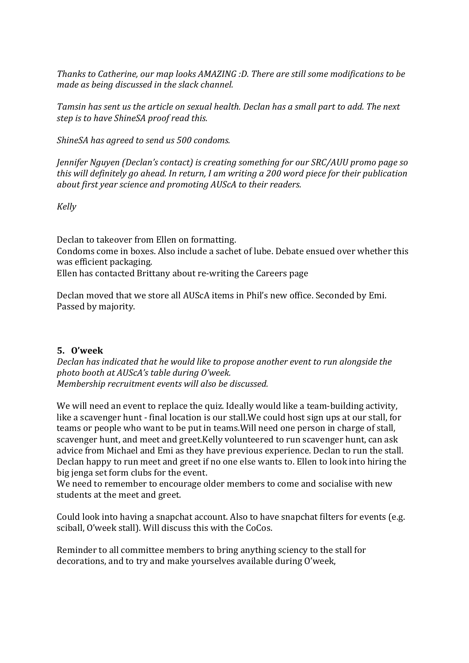Thanks to Catherine, our map looks AMAZING :D. There are still some modifications to be *made as being discussed in the slack channel.* 

*Tamsin has sent us the article on sexual health. Declan has a small part to add. The next step is to have ShineSA proof read this.* 

*ShineSA has agreed to send us 500 condoms.* 

*Jennifer Nguyen (Declan's contact)* is creating something for our SRC/AUU promo page so *this* will definitely go ahead. In return, I am writing a 200 word piece for their publication *about first year science and promoting AUScA to their readers.* 

*Kelly*

Declan to takeover from Ellen on formatting. Condoms come in boxes. Also include a sachet of lube. Debate ensued over whether this was efficient packaging. Ellen has contacted Brittany about re-writing the Careers page

Declan moved that we store all AUScA items in Phil's new office. Seconded by Emi. Passed by majority.

### **5. O'week**

*Declan* has indicated that he would like to propose another event to run alongside the *photo booth at AUScA's table during O'week. Membership recruitment events will also be discussed.* 

We will need an event to replace the quiz. Ideally would like a team-building activity, like a scavenger hunt - final location is our stall. We could host sign ups at our stall, for teams or people who want to be put in teams. Will need one person in charge of stall, scavenger hunt, and meet and greet.Kelly volunteered to run scavenger hunt, can ask advice from Michael and Emi as they have previous experience. Declan to run the stall. Declan happy to run meet and greet if no one else wants to. Ellen to look into hiring the big ienga set form clubs for the event.

We need to remember to encourage older members to come and socialise with new students at the meet and greet.

Could look into having a snapchat account. Also to have snapchat filters for events (e.g. sciball, O'week stall). Will discuss this with the CoCos.

Reminder to all committee members to bring anything sciency to the stall for decorations, and to try and make yourselves available during O'week,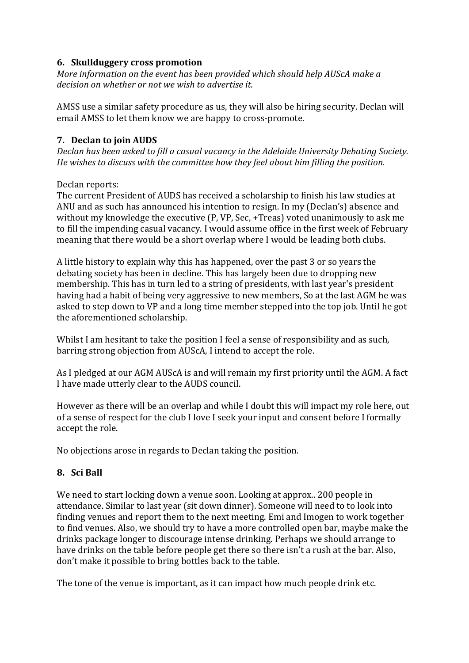## **6. Skullduggery cross promotion**

*More information on the event has been provided which should help AUScA make a decision on whether or not we wish to advertise it.* 

AMSS use a similar safety procedure as us, they will also be hiring security. Declan will email AMSS to let them know we are happy to cross-promote.

## **7. Declan to join AUDS**

*Declan has been asked to fill a casual vacancy in the Adelaide University Debating Society. He* wishes to discuss with the committee how they feel about him filling the position.

Declan reports:

The current President of AUDS has received a scholarship to finish his law studies at ANU and as such has announced his intention to resign. In my (Declan's) absence and without my knowledge the executive  $(P, VP, Sec, +Treas)$  voted unanimously to ask me to fill the impending casual vacancy. I would assume office in the first week of February meaning that there would be a short overlap where I would be leading both clubs.

A little history to explain why this has happened, over the past 3 or so years the debating society has been in decline. This has largely been due to dropping new membership. This has in turn led to a string of presidents, with last year's president having had a habit of being very aggressive to new members, So at the last AGM he was asked to step down to VP and a long time member stepped into the top job. Until he got the aforementioned scholarship.

Whilst I am hesitant to take the position I feel a sense of responsibility and as such, barring strong objection from AUScA. I intend to accept the role.

As I pledged at our AGM AUScA is and will remain my first priority until the AGM. A fact I have made utterly clear to the AUDS council.

However as there will be an overlap and while I doubt this will impact my role here, out of a sense of respect for the club I love I seek your input and consent before I formally accept the role.

No objections arose in regards to Declan taking the position.

# **8. Sci Ball**

We need to start locking down a venue soon. Looking at approx.. 200 people in attendance. Similar to last year (sit down dinner). Someone will need to to look into finding venues and report them to the next meeting. Emi and Imogen to work together to find venues. Also, we should try to have a more controlled open bar, maybe make the drinks package longer to discourage intense drinking. Perhaps we should arrange to have drinks on the table before people get there so there isn't a rush at the bar. Also, don't make it possible to bring bottles back to the table.

The tone of the venue is important, as it can impact how much people drink etc.